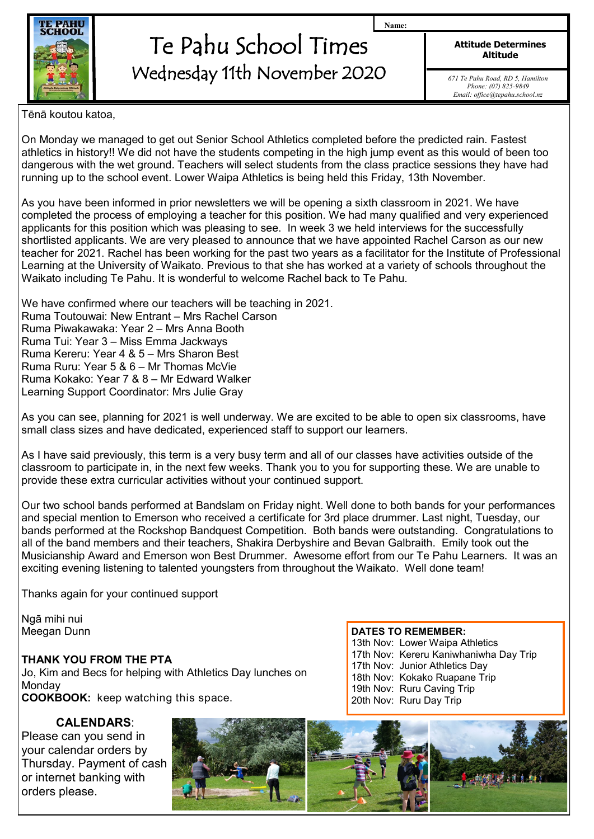

## Te Pahu School Times Wednesday 11th November 2020

**Attitude Determines Altitude**

**Name:**

*671 Te Pahu Road, RD 5, Hamilton Phone: (07) 825-9849 Email: office@tepahu.school.nz*

Tēnā koutou katoa,

On Monday we managed to get out Senior School Athletics completed before the predicted rain. Fastest athletics in history!! We did not have the students competing in the high jump event as this would of been too dangerous with the wet ground. Teachers will select students from the class practice sessions they have had running up to the school event. Lower Waipa Athletics is being held this Friday, 13th November.

As you have been informed in prior newsletters we will be opening a sixth classroom in 2021. We have completed the process of employing a teacher for this position. We had many qualified and very experienced applicants for this position which was pleasing to see. In week 3 we held interviews for the successfully shortlisted applicants. We are very pleased to announce that we have appointed Rachel Carson as our new teacher for 2021. Rachel has been working for the past two years as a facilitator for the Institute of Professional Learning at the University of Waikato. Previous to that she has worked at a variety of schools throughout the Waikato including Te Pahu. It is wonderful to welcome Rachel back to Te Pahu.

We have confirmed where our teachers will be teaching in 2021. Ruma Toutouwai: New Entrant – Mrs Rachel Carson Ruma Piwakawaka: Year 2 – Mrs Anna Booth Ruma Tui: Year 3 – Miss Emma Jackways Ruma Kereru: Year 4 & 5 – Mrs Sharon Best Ruma Ruru: Year 5 & 6 – Mr Thomas McVie Ruma Kokako: Year 7 & 8 – Mr Edward Walker Learning Support Coordinator: Mrs Julie Gray

As you can see, planning for 2021 is well underway. We are excited to be able to open six classrooms, have small class sizes and have dedicated, experienced staff to support our learners.

As I have said previously, this term is a very busy term and all of our classes have activities outside of the classroom to participate in, in the next few weeks. Thank you to you for supporting these. We are unable to provide these extra curricular activities without your continued support.

Our two school bands performed at Bandslam on Friday night. Well done to both bands for your performances and special mention to Emerson who received a certificate for 3rd place drummer. Last night, Tuesday, our bands performed at the Rockshop Bandquest Competition. Both bands were outstanding. Congratulations to all of the band members and their teachers, Shakira Derbyshire and Bevan Galbraith. Emily took out the Musicianship Award and Emerson won Best Drummer. Awesome effort from our Te Pahu Learners. It was an exciting evening listening to talented youngsters from throughout the Waikato. Well done team!

Thanks again for your continued support

Ngā mihi nui Meegan Dunn

## **THANK YOU FROM THE PTA**

Jo, Kim and Becs for helping with Athletics Day lunches on **Monday COOKBOOK:** keep watching this space.

## **CALENDARS**:

Please can you send in your calendar orders by Thursday. Payment of cash or internet banking with orders please.

#### **DATES TO REMEMBER:** 13th Nov: Lower Waipa Athletics 17th Nov: Kereru Kaniwhaniwha Day Trip 17th Nov: Junior Athletics Day 18th Nov: Kokako Ruapane Trip 19th Nov: Ruru Caving Trip 20th Nov: Ruru Day Trip